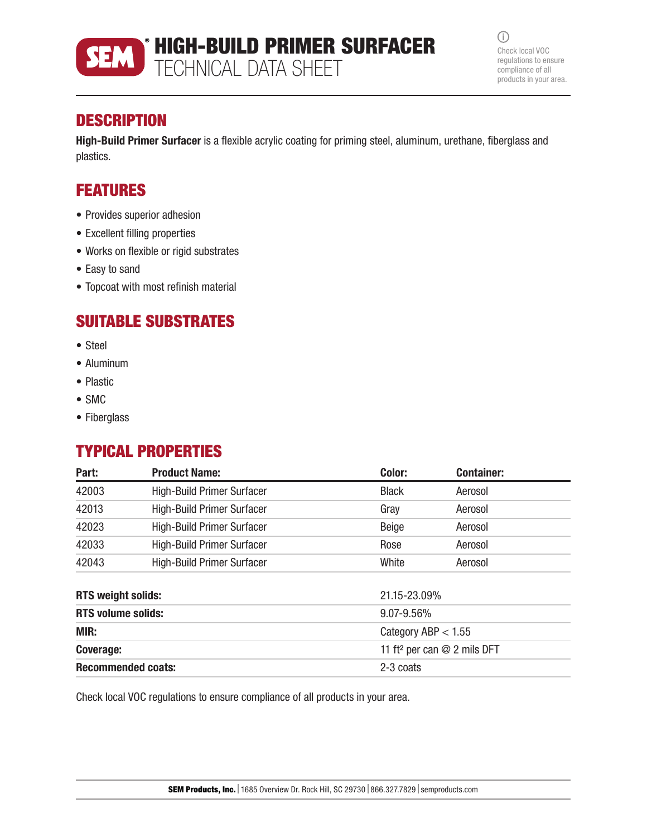

HIGH-BUILD PRIMER SURFACER TECHNICAL DATA SHEET

 $\odot$ Check local VOC regulations to ensure compliance of all products in your area.

## **DESCRIPTION**

High-Build Primer Surfacer is a flexible acrylic coating for priming steel, aluminum, urethane, fiberglass and plastics.

# FEATURES

- Provides superior adhesion
- Excellent filling properties
- Works on flexible or rigid substrates
- Easy to sand
- Topcoat with most refinish material

### SUITABLE SUBSTRATES

- Steel
- Aluminum
- Plastic
- SMC
- Fiberglass

# TYPICAL PROPERTIES

| Part:                     | <b>Product Name:</b>              | Color:                                  | <b>Container:</b> |
|---------------------------|-----------------------------------|-----------------------------------------|-------------------|
| 42003                     | <b>High-Build Primer Surfacer</b> | <b>Black</b>                            | Aerosol           |
| 42013                     | <b>High-Build Primer Surfacer</b> | Gray                                    | Aerosol           |
| 42023                     | <b>High-Build Primer Surfacer</b> | Beige                                   | Aerosol           |
| 42033                     | <b>High-Build Primer Surfacer</b> | Rose                                    | Aerosol           |
| 42043                     | <b>High-Build Primer Surfacer</b> | White                                   | Aerosol           |
| <b>RTS weight solids:</b> |                                   | 21.15-23.09%                            |                   |
| <b>RTS volume solids:</b> |                                   | 9.07-9.56%                              |                   |
| MIR:                      |                                   | Category ABP $< 1.55$                   |                   |
| <b>Coverage:</b>          |                                   | 11 ft <sup>2</sup> per can @ 2 mils DFT |                   |
| <b>Recommended coats:</b> |                                   | 2-3 coats                               |                   |

Check local VOC regulations to ensure compliance of all products in your area.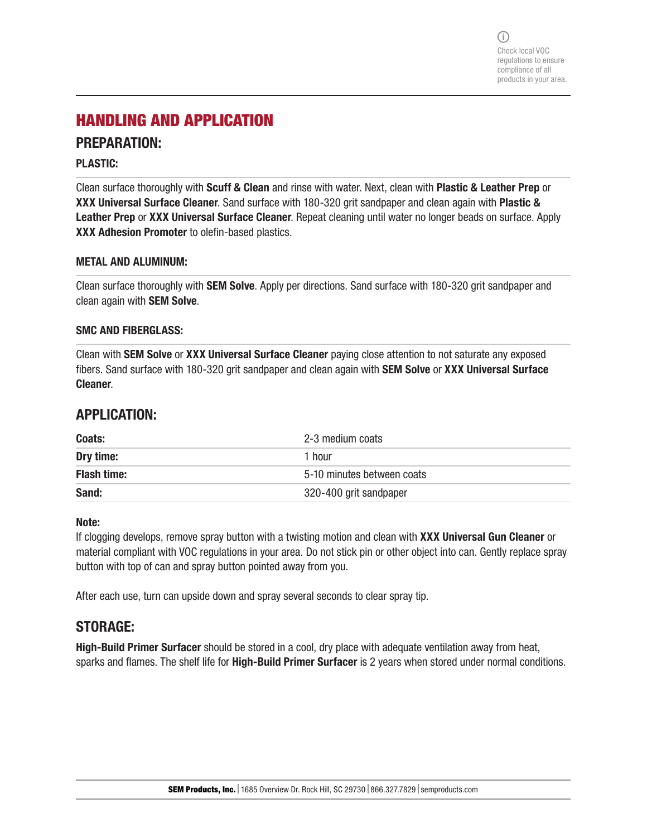## HANDLING AND APPLICATION

### PREPARATION:

### PLASTIC:

Clean surface thoroughly with Scuff & Clean and rinse with water. Next, clean with Plastic & Leather Prep or XXX Universal Surface Cleaner. Sand surface with 180-320 grit sandpaper and clean again with Plastic & Leather Prep or XXX Universal Surface Cleaner. Repeat cleaning until water no longer beads on surface. Apply XXX Adhesion Promoter to olefin-based plastics.

### METAL AND ALUMINUM:

Clean surface thoroughly with **SEM Solve**. Apply per directions. Sand surface with 180-320 grit sandpaper and clean again with SEM Solve.

#### SMC AND FIBERGLASS:

Clean with SEM Solve or XXX Universal Surface Cleaner paying close attention to not saturate any exposed fibers. Sand surface with 180-320 grit sandpaper and clean again with **SEM Solve or XXX Universal Surface** Cleaner.

### APPLICATION:

| Coats:             | 2-3 medium coats           |
|--------------------|----------------------------|
| Dry time:          | 1 hour                     |
| <b>Flash time:</b> | 5-10 minutes between coats |
| Sand:              | 320-400 grit sandpaper     |

#### Note:

If clogging develops, remove spray button with a twisting motion and clean with XXX Universal Gun Cleaner or material compliant with VOC regulations in your area. Do not stick pin or other object into can. Gently replace spray button with top of can and spray button pointed away from you.

After each use, turn can upside down and spray several seconds to clear spray tip.

### STORAGE:

High-Build Primer Surfacer should be stored in a cool, dry place with adequate ventilation away from heat, sparks and flames. The shelf life for High-Build Primer Surfacer is 2 years when stored under normal conditions.